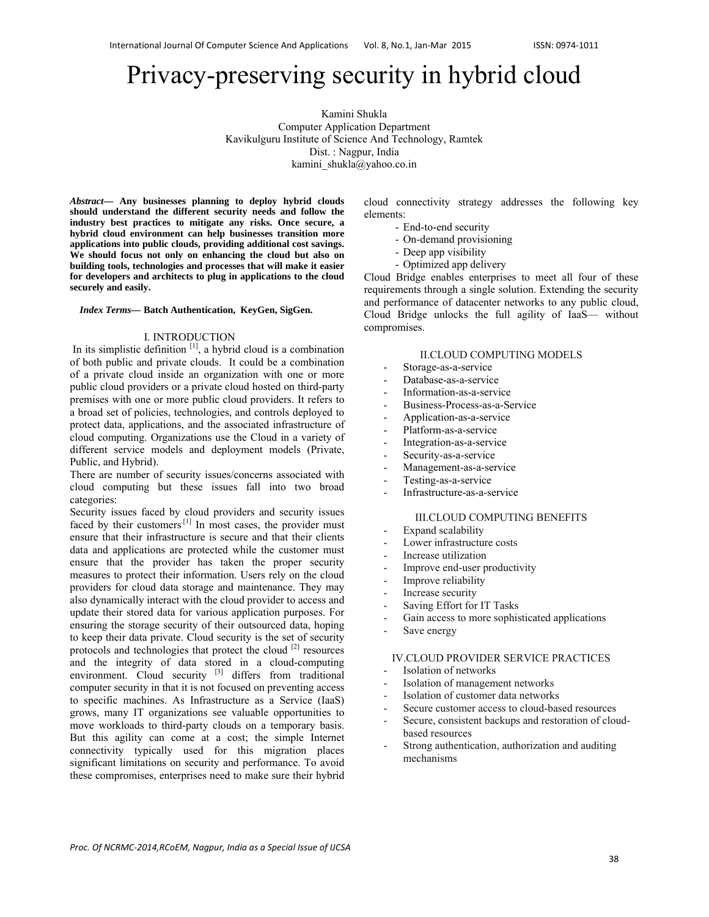# Privacy-preserving security in hybrid cloud

Kamini Shukla Computer Application Department Kavikulguru Institute of Science And Technology, Ramtek Dist. : Nagpur, India kamini shukla@yahoo.co.in

*Abstract***— Any businesses planning to deploy hybrid clouds should understand the different security needs and follow the industry best practices to mitigate any risks. Once secure, a hybrid cloud environment can help businesses transition more applications into public clouds, providing additional cost savings. We should focus not only on enhancing the cloud but also on building tools, technologies and processes that will make it easier for developers and architects to plug in applications to the cloud securely and easily.**

#### *Index Terms***— Batch Authentication, KeyGen, SigGen.**

### I. INTRODUCTION

In its simplistic definition  $[1]$ , a hybrid cloud is a combination of both public and private clouds. It could be a combination of a private cloud inside an organization with one or more public cloud providers or a private cloud hosted on third-party premises with one or more public cloud providers. It refers to a broad set of policies, technologies, and controls deployed to protect data, applications, and the associated infrastructure of cloud computing. Organizations use the Cloud in a variety of different service models and deployment models (Private, Public, and Hybrid).

There are number of security issues/concerns associated with cloud computing but these issues fall into two broad categories:

Security issues faced by cloud providers and security issues faced by their customers<sup>[1]</sup> In most cases, the provider must ensure that their infrastructure is secure and that their clients data and applications are protected while the customer must ensure that the provider has taken the proper security measures to protect their information. Users rely on the cloud providers for cloud data storage and maintenance. They may also dynamically interact with the cloud provider to access and update their stored data for various application purposes. For ensuring the storage security of their outsourced data, hoping to keep their data private. Cloud security is the set of security protocols and technologies that protect the cloud [2] resources and the integrity of data stored in a cloud-computing environment. Cloud security <sup>[3]</sup> differs from traditional computer security in that it is not focused on preventing access to specific machines. As Infrastructure as a Service (IaaS) grows, many IT organizations see valuable opportunities to move workloads to third-party clouds on a temporary basis. But this agility can come at a cost; the simple Internet connectivity typically used for this migration places significant limitations on security and performance. To avoid these compromises, enterprises need to make sure their hybrid

cloud connectivity strategy addresses the following key elements:

- End-to-end security
- On-demand provisioning
- Deep app visibility
- Optimized app delivery

Cloud Bridge enables enterprises to meet all four of these requirements through a single solution. Extending the security and performance of datacenter networks to any public cloud, Cloud Bridge unlocks the full agility of IaaS— without compromises.

## II.CLOUD COMPUTING MODELS

- Storage-as-a-service
- Database-as-a-service
- Information-as-a-service
- Business-Process-as-a-Service
- Application-as-a-service
- Platform-as-a-service
- Integration-as-a-service
- Security-as-a-service
- Management-as-a-service
- Testing-as-a-service
- Infrastructure-as-a-service

## III.CLOUD COMPUTING BENEFITS

- Expand scalability
- Lower infrastructure costs
- Increase utilization
- Improve end-user productivity
- Improve reliability
- Increase security
- Saving Effort for IT Tasks
- Gain access to more sophisticated applications
- Save energy

## IV.CLOUD PROVIDER SERVICE PRACTICES

- Isolation of networks
- Isolation of management networks
- Isolation of customer data networks
- Secure customer access to cloud-based resources
- Secure, consistent backups and restoration of cloudbased resources
- Strong authentication, authorization and auditing mechanisms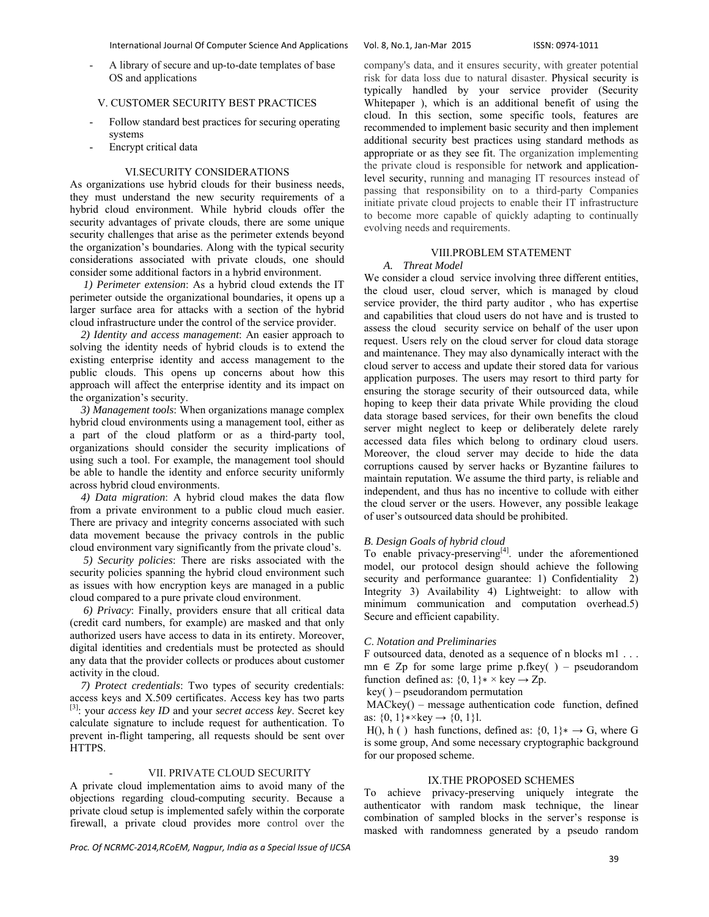International Journal Of Computer Science And Applications Vol. 8, No.1, Jan‐Mar 2015 ISSN: 0974‐1011

A library of secure and up-to-date templates of base OS and applications

# V. CUSTOMER SECURITY BEST PRACTICES

- Follow standard best practices for securing operating systems
- Encrypt critical data

# VI.SECURITY CONSIDERATIONS

As organizations use hybrid clouds for their business needs, they must understand the new security requirements of a hybrid cloud environment. While hybrid clouds offer the security advantages of private clouds, there are some unique security challenges that arise as the perimeter extends beyond the organization's boundaries. Along with the typical security considerations associated with private clouds, one should consider some additional factors in a hybrid environment.

 *1) Perimeter extension*: As a hybrid cloud extends the IT perimeter outside the organizational boundaries, it opens up a larger surface area for attacks with a section of the hybrid cloud infrastructure under the control of the service provider.

 *2) Identity and access management*: An easier approach to solving the identity needs of hybrid clouds is to extend the existing enterprise identity and access management to the public clouds. This opens up concerns about how this approach will affect the enterprise identity and its impact on the organization's security.

 *3) Management tools*: When organizations manage complex hybrid cloud environments using a management tool, either as a part of the cloud platform or as a third-party tool, organizations should consider the security implications of using such a tool. For example, the management tool should be able to handle the identity and enforce security uniformly across hybrid cloud environments.

 *4) Data migration*: A hybrid cloud makes the data flow from a private environment to a public cloud much easier. There are privacy and integrity concerns associated with such data movement because the privacy controls in the public cloud environment vary significantly from the private cloud's.

 *5) Security policies*: There are risks associated with the security policies spanning the hybrid cloud environment such as issues with how encryption keys are managed in a public cloud compared to a pure private cloud environment.

 *6) Privacy*: Finally, providers ensure that all critical data (credit card numbers, for example) are masked and that only authorized users have access to data in its entirety. Moreover, digital identities and credentials must be protected as should any data that the provider collects or produces about customer activity in the cloud.

 *7) Protect credentials*: Two types of security credentials: access keys and X.509 certificates. Access key has two parts [3]: your *access key ID* and your *secret access key*. Secret key calculate signature to include request for authentication. To prevent in-flight tampering, all requests should be sent over HTTPS.

#### VII. PRIVATE CLOUD SECURITY

A private cloud implementation aims to avoid many of the objections regarding cloud-computing security. Because a private cloud setup is implemented safely within the corporate firewall, a private cloud provides more control over the

*Proc. Of NCRMC‐2014,RCoEM, Nagpur, India as a Special Issue of IJCSA*

company's data, and it ensures security, with greater potential risk for data loss due to natural disaster. Physical security is typically handled by your service provider (Security Whitepaper ), which is an additional benefit of using the cloud. In this section, some specific tools, features are recommended to implement basic security and then implement additional security best practices using standard methods as appropriate or as they see fit. The organization implementing the private cloud is responsible for network and applicationlevel security, running and managing IT resources instead of passing that responsibility on to a third-party Companies initiate private cloud projects to enable their IT infrastructure to become more capable of quickly adapting to continually evolving needs and requirements.

## VIII.PROBLEM STATEMENT

#### *A. Threat Model*

We consider a cloud service involving three different entities, the cloud user, cloud server, which is managed by cloud service provider, the third party auditor , who has expertise and capabilities that cloud users do not have and is trusted to assess the cloud security service on behalf of the user upon request. Users rely on the cloud server for cloud data storage and maintenance. They may also dynamically interact with the cloud server to access and update their stored data for various application purposes. The users may resort to third party for ensuring the storage security of their outsourced data, while hoping to keep their data private While providing the cloud data storage based services, for their own benefits the cloud server might neglect to keep or deliberately delete rarely accessed data files which belong to ordinary cloud users. Moreover, the cloud server may decide to hide the data corruptions caused by server hacks or Byzantine failures to maintain reputation. We assume the third party, is reliable and independent, and thus has no incentive to collude with either the cloud server or the users. However, any possible leakage of user's outsourced data should be prohibited.

## *B*. *Design Goals of hybrid cloud*

To enable privacy-preserving<sup>[4]</sup>, under the aforementioned model, our protocol design should achieve the following security and performance guarantee: 1) Confidentiality 2) Integrity 3) Availability 4) Lightweight: to allow with minimum communication and computation overhead.5) Secure and efficient capability.

#### *C*. *Notation and Preliminaries*

F outsourced data, denoted as a sequence of n blocks m1 . . . mn  $\in$  Zp for some large prime p.fkey( ) – pseudorandom function defined as:  $\{0, 1\} \times \text{key} \rightarrow \text{Zp}$ .

key( ) – pseudorandom permutation

 MACkey() – message authentication code function, defined as:  $\{0, 1\}$ \*×key  $\rightarrow \{0, 1\}$ l.

H(), h ( ) hash functions, defined as:  $\{0, 1\}$   $\rightarrow$  G, where G is some group, And some necessary cryptographic background for our proposed scheme.

# IX.THE PROPOSED SCHEMES

To achieve privacy-preserving uniquely integrate the authenticator with random mask technique, the linear combination of sampled blocks in the server's response is masked with randomness generated by a pseudo random